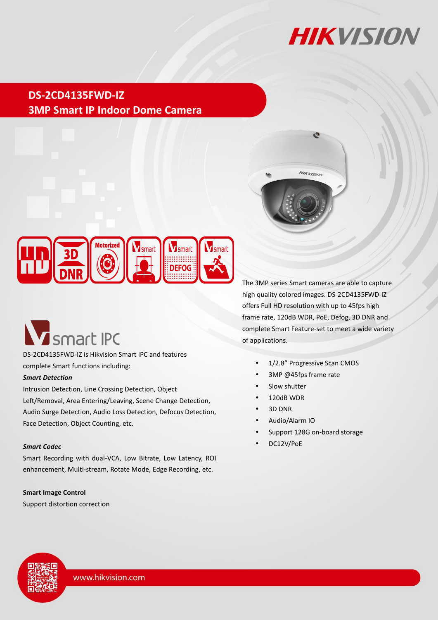

## **DS-2CD4135FWD-IZ 3MP Smart IP Indoor Dome Camera**





DS-2CD4135FWD-IZ is Hikvision Smart IPC and features complete Smart functions including:

#### *Smart Detection*

Intrusion Detection, Line Crossing Detection, Object Left/Removal, Area Entering/Leaving, Scene Change Detection, Audio Surge Detection, Audio Loss Detection, Defocus Detection, Face Detection, Object Counting, etc.

#### *Smart Codec*

Smart Recording with dual-VCA, Low Bitrate, Low Latency, ROI enhancement, Multi-stream, Rotate Mode, Edge Recording, etc.

#### **Smart Image Control**

Support distortion correction

The 3MP series Smart cameras are able to capture high quality colored images. DS-2CD4135FWD-IZ offers Full HD resolution with up to 45fps high frame rate, 120dB WDR, PoE, Defog, 3D DNR and complete Smart Feature-set to meet a wide variety of applications.

O

**HIKVISION** 

- 1/2.8" Progressive Scan CMOS
- 3MP @45fps frame rate
- Slow shutter
- 120dB WDR
- 3D DNR
- Audio/Alarm IO
- Support 128G on-board storage
- DC12V/PoE

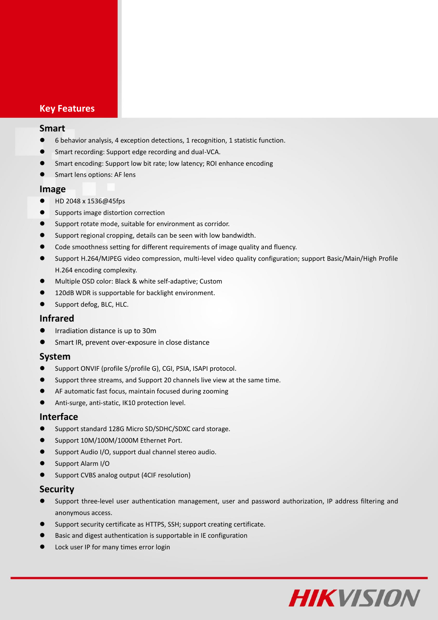### **Key Features**

#### **Smart**

- 6 behavior analysis, 4 exception detections, 1 recognition, 1 statistic function.
- **•** Smart recording: Support edge recording and dual-VCA.
- Smart encoding: Support low bit rate; low latency; ROI enhance encoding
- Smart lens options: AF lens

#### **Image**

- HD 2048 x 1536@45fps
- **•** Supports image distortion correction
- Support rotate mode, suitable for environment as corridor.
- Support regional cropping, details can be seen with low bandwidth.
- Code smoothness setting for different requirements of image quality and fluency.
- Support H.264/MJPEG video compression, multi-level video quality configuration; support Basic/Main/High Profile H.264 encoding complexity.
- Multiple OSD color: Black & white self-adaptive; Custom
- 120dB WDR is supportable for backlight environment.
- Support defog, BLC, HLC.

### **Infrared**

- **•** Irradiation distance is up to 30m
- Smart IR, prevent over-exposure in close distance

### **System**

- Support ONVIF (profile S/profile G), CGI, PSIA, ISAPI protocol.
- Support three streams, and Support 20 channels live view at the same time.
- AF automatic fast focus, maintain focused during zooming
- Anti-surge, anti-static, IK10 protection level.

### **Interface**

- Support standard 128G Micro SD/SDHC/SDXC card storage.
- Support 10M/100M/1000M Ethernet Port.
- Support Audio I/O, support dual channel stereo audio.
- Support Alarm I/O
- Support CVBS analog output (4CIF resolution)

### **Security**

- Support three-level user authentication management, user and password authorization, IP address filtering and anonymous access.
- Support security certificate as HTTPS, SSH; support creating certificate.
- Basic and digest authentication is supportable in IE configuration
- Lock user IP for many times error login

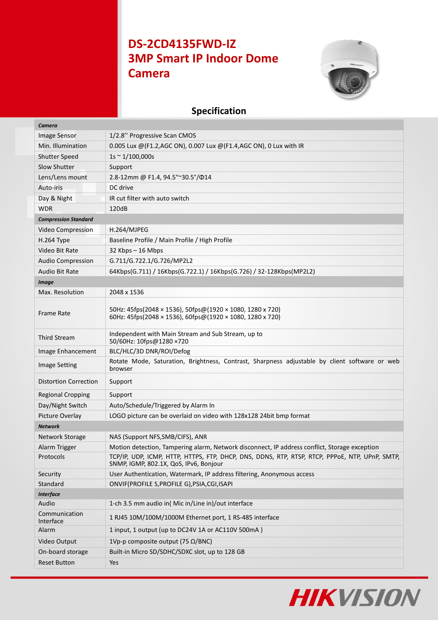# **DS-2CD4135FWD-IZ 3MP Smart IP Indoor Dome Camera**

*Camera*



## **Specification**

| camera                       |                                                                                                                                          |  |
|------------------------------|------------------------------------------------------------------------------------------------------------------------------------------|--|
| Image Sensor                 | 1/2.8" Progressive Scan CMOS                                                                                                             |  |
| Min. Illumination            | 0.005 Lux @(F1.2,AGC ON), 0.007 Lux @(F1.4,AGC ON), 0 Lux with IR                                                                        |  |
| <b>Shutter Speed</b>         | $1s \sim 1/100,000s$                                                                                                                     |  |
| <b>Slow Shutter</b>          | Support                                                                                                                                  |  |
| Lens/Lens mount              | 2.8-12mm @ F1.4, 94.5°~30.5°/014                                                                                                         |  |
| Auto-iris                    | DC drive                                                                                                                                 |  |
| Day & Night                  | IR cut filter with auto switch                                                                                                           |  |
| <b>WDR</b>                   | 120dB                                                                                                                                    |  |
| <b>Compression Standard</b>  |                                                                                                                                          |  |
| Video Compression            | H.264/MJPEG                                                                                                                              |  |
| $H.264$ Type                 | Baseline Profile / Main Profile / High Profile                                                                                           |  |
| Video Bit Rate               | $32$ Kbps $-16$ Mbps                                                                                                                     |  |
| <b>Audio Compression</b>     | G.711/G.722.1/G.726/MP2L2                                                                                                                |  |
| <b>Audio Bit Rate</b>        | 64Kbps(G.711) / 16Kbps(G.722.1) / 16Kbps(G.726) / 32-128Kbps(MP2L2)                                                                      |  |
| <b>Image</b>                 |                                                                                                                                          |  |
| Max. Resolution              | 2048 x 1536                                                                                                                              |  |
| <b>Frame Rate</b>            | 50Hz: 45fps(2048 × 1536), 50fps@(1920 × 1080, 1280 x 720)<br>60Hz: 45fps(2048 × 1536), 60fps@(1920 × 1080, 1280 x 720)                   |  |
| <b>Third Stream</b>          | Independent with Main Stream and Sub Stream, up to<br>50/60Hz: 10fps@1280 ×720                                                           |  |
| Image Enhancement            | BLC/HLC/3D DNR/ROI/Defog                                                                                                                 |  |
| <b>Image Setting</b>         | Rotate Mode, Saturation, Brightness, Contrast, Sharpness adjustable by client software or web<br>browser                                 |  |
| <b>Distortion Correction</b> | Support                                                                                                                                  |  |
| <b>Regional Cropping</b>     | Support                                                                                                                                  |  |
| Day/Night Switch             | Auto/Schedule/Triggered by Alarm In                                                                                                      |  |
| Picture Overlay              | LOGO picture can be overlaid on video with 128x128 24bit bmp format                                                                      |  |
| <b>Network</b>               |                                                                                                                                          |  |
| Network Storage              | NAS (Support NFS, SMB/CIFS), ANR                                                                                                         |  |
| Alarm Trigger                | Motion detection, Tampering alarm, Network disconnect, IP address conflict, Storage exception                                            |  |
| Protocols                    | TCP/IP, UDP, ICMP, HTTP, HTTPS, FTP, DHCP, DNS, DDNS, RTP, RTSP, RTCP, PPPOE, NTP, UPnP, SMTP,<br>SNMP, IGMP, 802.1X, QoS, IPv6, Bonjour |  |
| Security                     | User Authentication, Watermark, IP address filtering, Anonymous access                                                                   |  |
| Standard                     | ONVIF(PROFILE S, PROFILE G), PSIA, CGI, ISAPI                                                                                            |  |
| <b>Interface</b>             |                                                                                                                                          |  |
|                              |                                                                                                                                          |  |
| Audio                        | 1-ch 3.5 mm audio in( Mic in/Line in)/out interface                                                                                      |  |
| Communication<br>Interface   | 1 RJ45 10M/100M/1000M Ethernet port, 1 RS-485 interface                                                                                  |  |
| Alarm                        | 1 input, 1 output (up to DC24V 1A or AC110V 500mA)                                                                                       |  |
| Video Output                 | 1Vp-p composite output (75 $\Omega$ /BNC)                                                                                                |  |
| On-board storage             | Built-in Micro SD/SDHC/SDXC slot, up to 128 GB                                                                                           |  |